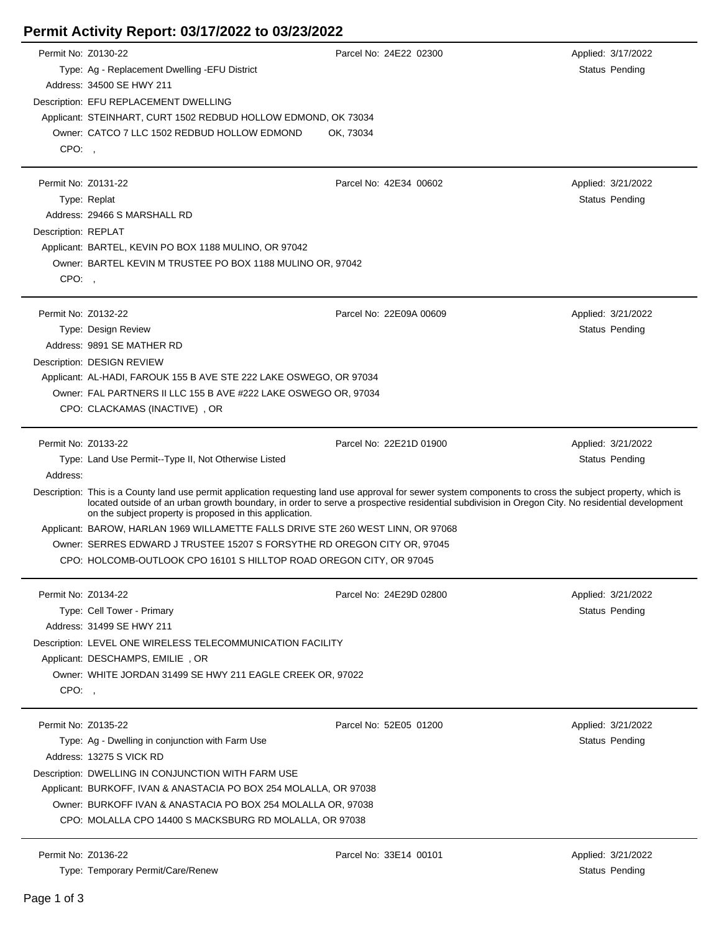## **Permit Activity Report: 03/17/2022 to 03/23/2022**

|                     | Permit No: Z0130-22                                                                                                                                                                                                                                                                                                                                                       | Parcel No: 24E22 02300  | Applied: 3/17/2022    |  |
|---------------------|---------------------------------------------------------------------------------------------------------------------------------------------------------------------------------------------------------------------------------------------------------------------------------------------------------------------------------------------------------------------------|-------------------------|-----------------------|--|
|                     | Type: Ag - Replacement Dwelling - EFU District                                                                                                                                                                                                                                                                                                                            |                         | Status Pending        |  |
|                     | Address: 34500 SE HWY 211                                                                                                                                                                                                                                                                                                                                                 |                         |                       |  |
|                     | Description: EFU REPLACEMENT DWELLING                                                                                                                                                                                                                                                                                                                                     |                         |                       |  |
|                     | Applicant: STEINHART, CURT 1502 REDBUD HOLLOW EDMOND, OK 73034                                                                                                                                                                                                                                                                                                            |                         |                       |  |
|                     | Owner: CATCO 7 LLC 1502 REDBUD HOLLOW EDMOND                                                                                                                                                                                                                                                                                                                              | OK, 73034               |                       |  |
| CPO:                |                                                                                                                                                                                                                                                                                                                                                                           |                         |                       |  |
|                     |                                                                                                                                                                                                                                                                                                                                                                           |                         |                       |  |
| Permit No: Z0131-22 |                                                                                                                                                                                                                                                                                                                                                                           | Parcel No: 42E34 00602  | Applied: 3/21/2022    |  |
|                     | Type: Replat                                                                                                                                                                                                                                                                                                                                                              |                         | Status Pending        |  |
|                     | Address: 29466 S MARSHALL RD                                                                                                                                                                                                                                                                                                                                              |                         |                       |  |
|                     |                                                                                                                                                                                                                                                                                                                                                                           |                         |                       |  |
| Description: REPLAT |                                                                                                                                                                                                                                                                                                                                                                           |                         |                       |  |
|                     | Applicant: BARTEL, KEVIN PO BOX 1188 MULINO, OR 97042                                                                                                                                                                                                                                                                                                                     |                         |                       |  |
|                     | Owner: BARTEL KEVIN M TRUSTEE PO BOX 1188 MULINO OR, 97042                                                                                                                                                                                                                                                                                                                |                         |                       |  |
| CPO:,               |                                                                                                                                                                                                                                                                                                                                                                           |                         |                       |  |
|                     |                                                                                                                                                                                                                                                                                                                                                                           |                         |                       |  |
| Permit No: Z0132-22 |                                                                                                                                                                                                                                                                                                                                                                           | Parcel No: 22E09A 00609 | Applied: 3/21/2022    |  |
|                     | Type: Design Review                                                                                                                                                                                                                                                                                                                                                       |                         | Status Pending        |  |
|                     | Address: 9891 SE MATHER RD                                                                                                                                                                                                                                                                                                                                                |                         |                       |  |
|                     | Description: DESIGN REVIEW                                                                                                                                                                                                                                                                                                                                                |                         |                       |  |
|                     | Applicant: AL-HADI, FAROUK 155 B AVE STE 222 LAKE OSWEGO, OR 97034                                                                                                                                                                                                                                                                                                        |                         |                       |  |
|                     | Owner: FAL PARTNERS II LLC 155 B AVE #222 LAKE OSWEGO OR, 97034                                                                                                                                                                                                                                                                                                           |                         |                       |  |
|                     | CPO: CLACKAMAS (INACTIVE), OR                                                                                                                                                                                                                                                                                                                                             |                         |                       |  |
|                     |                                                                                                                                                                                                                                                                                                                                                                           |                         |                       |  |
| Permit No: Z0133-22 |                                                                                                                                                                                                                                                                                                                                                                           | Parcel No: 22E21D 01900 | Applied: 3/21/2022    |  |
|                     | Type: Land Use Permit--Type II, Not Otherwise Listed                                                                                                                                                                                                                                                                                                                      |                         | <b>Status Pending</b> |  |
| Address:            |                                                                                                                                                                                                                                                                                                                                                                           |                         |                       |  |
|                     |                                                                                                                                                                                                                                                                                                                                                                           |                         |                       |  |
|                     | Description: This is a County land use permit application requesting land use approval for sewer system components to cross the subject property, which is<br>located outside of an urban growth boundary, in order to serve a prospective residential subdivision in Oregon City. No residential development<br>on the subject property is proposed in this application. |                         |                       |  |
|                     | Applicant: BAROW, HARLAN 1969 WILLAMETTE FALLS DRIVE STE 260 WEST LINN, OR 97068                                                                                                                                                                                                                                                                                          |                         |                       |  |
|                     | Owner: SERRES EDWARD J TRUSTEE 15207 S FORSYTHE RD OREGON CITY OR, 97045                                                                                                                                                                                                                                                                                                  |                         |                       |  |
|                     | CPO: HOLCOMB-OUTLOOK CPO 16101 S HILLTOP ROAD OREGON CITY, OR 97045                                                                                                                                                                                                                                                                                                       |                         |                       |  |
|                     |                                                                                                                                                                                                                                                                                                                                                                           |                         |                       |  |
|                     | Permit No: Z0134-22                                                                                                                                                                                                                                                                                                                                                       | Parcel No: 24E29D 02800 | Applied: 3/21/2022    |  |
|                     | Type: Cell Tower - Primary                                                                                                                                                                                                                                                                                                                                                |                         | Status Pending        |  |
|                     | Address: 31499 SE HWY 211                                                                                                                                                                                                                                                                                                                                                 |                         |                       |  |
|                     | Description: LEVEL ONE WIRELESS TELECOMMUNICATION FACILITY                                                                                                                                                                                                                                                                                                                |                         |                       |  |
|                     | Applicant: DESCHAMPS, EMILIE, OR                                                                                                                                                                                                                                                                                                                                          |                         |                       |  |
|                     | Owner: WHITE JORDAN 31499 SE HWY 211 EAGLE CREEK OR, 97022                                                                                                                                                                                                                                                                                                                |                         |                       |  |
|                     |                                                                                                                                                                                                                                                                                                                                                                           |                         |                       |  |
| CPO:                |                                                                                                                                                                                                                                                                                                                                                                           |                         |                       |  |
|                     |                                                                                                                                                                                                                                                                                                                                                                           |                         |                       |  |
|                     | Permit No: Z0135-22                                                                                                                                                                                                                                                                                                                                                       | Parcel No: 52E05 01200  | Applied: 3/21/2022    |  |
|                     | Type: Ag - Dwelling in conjunction with Farm Use                                                                                                                                                                                                                                                                                                                          |                         | Status Pending        |  |
|                     | Address: 13275 S VICK RD                                                                                                                                                                                                                                                                                                                                                  |                         |                       |  |
|                     | Description: DWELLING IN CONJUNCTION WITH FARM USE                                                                                                                                                                                                                                                                                                                        |                         |                       |  |
|                     | Applicant: BURKOFF, IVAN & ANASTACIA PO BOX 254 MOLALLA, OR 97038                                                                                                                                                                                                                                                                                                         |                         |                       |  |
|                     | Owner: BURKOFF IVAN & ANASTACIA PO BOX 254 MOLALLA OR, 97038                                                                                                                                                                                                                                                                                                              |                         |                       |  |
|                     | CPO: MOLALLA CPO 14400 S MACKSBURG RD MOLALLA, OR 97038                                                                                                                                                                                                                                                                                                                   |                         |                       |  |
|                     |                                                                                                                                                                                                                                                                                                                                                                           |                         |                       |  |
|                     | Permit No: Z0136-22                                                                                                                                                                                                                                                                                                                                                       | Parcel No: 33E14 00101  | Applied: 3/21/2022    |  |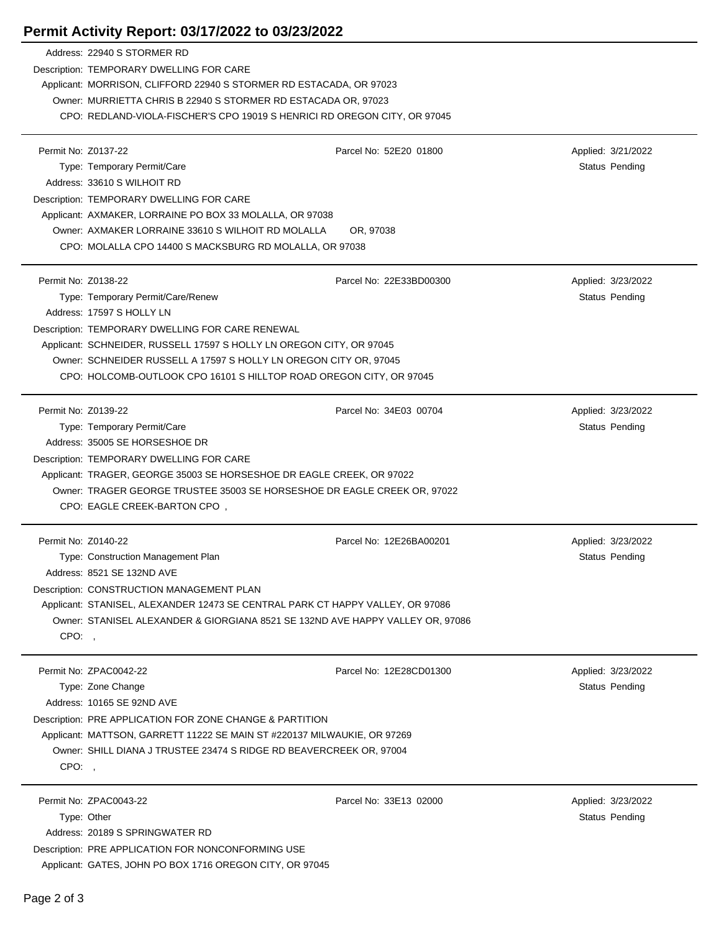## **Permit Activity Report: 03/17/2022 to 03/23/2022**

|                     | Address: 22940 S STORMER RD<br>Description: TEMPORARY DWELLING FOR CARE                                                    |                         |                       |  |
|---------------------|----------------------------------------------------------------------------------------------------------------------------|-------------------------|-----------------------|--|
|                     | Applicant: MORRISON, CLIFFORD 22940 S STORMER RD ESTACADA, OR 97023                                                        |                         |                       |  |
|                     | Owner: MURRIETTA CHRIS B 22940 S STORMER RD ESTACADA OR, 97023                                                             |                         |                       |  |
|                     | CPO: REDLAND-VIOLA-FISCHER'S CPO 19019 S HENRICI RD OREGON CITY, OR 97045                                                  |                         |                       |  |
|                     |                                                                                                                            |                         |                       |  |
| Permit No: Z0137-22 |                                                                                                                            | Parcel No: 52E20 01800  | Applied: 3/21/2022    |  |
|                     | Type: Temporary Permit/Care                                                                                                |                         | Status Pending        |  |
|                     | Address: 33610 S WILHOIT RD                                                                                                |                         |                       |  |
|                     | Description: TEMPORARY DWELLING FOR CARE                                                                                   |                         |                       |  |
|                     | Applicant: AXMAKER, LORRAINE PO BOX 33 MOLALLA, OR 97038                                                                   |                         |                       |  |
|                     | Owner: AXMAKER LORRAINE 33610 S WILHOIT RD MOLALLA<br>OR, 97038<br>CPO: MOLALLA CPO 14400 S MACKSBURG RD MOLALLA, OR 97038 |                         |                       |  |
|                     |                                                                                                                            |                         |                       |  |
| Permit No: Z0138-22 |                                                                                                                            | Parcel No: 22E33BD00300 | Applied: 3/23/2022    |  |
|                     | Type: Temporary Permit/Care/Renew                                                                                          |                         | Status Pending        |  |
|                     | Address: 17597 S HOLLY LN                                                                                                  |                         |                       |  |
|                     | Description: TEMPORARY DWELLING FOR CARE RENEWAL                                                                           |                         |                       |  |
|                     | Applicant: SCHNEIDER, RUSSELL 17597 S HOLLY LN OREGON CITY, OR 97045                                                       |                         |                       |  |
|                     | Owner: SCHNEIDER RUSSELL A 17597 S HOLLY LN OREGON CITY OR, 97045                                                          |                         |                       |  |
|                     | CPO: HOLCOMB-OUTLOOK CPO 16101 S HILLTOP ROAD OREGON CITY, OR 97045                                                        |                         |                       |  |
|                     |                                                                                                                            |                         |                       |  |
| Permit No: Z0139-22 |                                                                                                                            | Parcel No: 34E03 00704  | Applied: 3/23/2022    |  |
|                     | Type: Temporary Permit/Care<br>Address: 35005 SE HORSESHOE DR                                                              |                         | Status Pending        |  |
|                     |                                                                                                                            |                         |                       |  |
|                     | Description: TEMPORARY DWELLING FOR CARE<br>Applicant: TRAGER, GEORGE 35003 SE HORSESHOE DR EAGLE CREEK, OR 97022          |                         |                       |  |
|                     | Owner: TRAGER GEORGE TRUSTEE 35003 SE HORSESHOE DR EAGLE CREEK OR, 97022                                                   |                         |                       |  |
|                     | CPO: EAGLE CREEK-BARTON CPO,                                                                                               |                         |                       |  |
|                     |                                                                                                                            |                         |                       |  |
| Permit No: Z0140-22 |                                                                                                                            | Parcel No: 12E26BA00201 | Applied: 3/23/2022    |  |
|                     | Type: Construction Management Plan                                                                                         |                         | <b>Status Pending</b> |  |
|                     | Address: 8521 SE 132ND AVE                                                                                                 |                         |                       |  |
|                     | Description: CONSTRUCTION MANAGEMENT PLAN                                                                                  |                         |                       |  |
|                     | Applicant: STANISEL, ALEXANDER 12473 SE CENTRAL PARK CT HAPPY VALLEY, OR 97086                                             |                         |                       |  |
|                     | Owner: STANISEL ALEXANDER & GIORGIANA 8521 SE 132ND AVE HAPPY VALLEY OR, 97086                                             |                         |                       |  |
| CPO:,               |                                                                                                                            |                         |                       |  |
|                     | Permit No: ZPAC0042-22                                                                                                     | Parcel No: 12E28CD01300 | Applied: 3/23/2022    |  |
|                     | Type: Zone Change                                                                                                          |                         | Status Pending        |  |
|                     | Address: 10165 SE 92ND AVE                                                                                                 |                         |                       |  |
|                     | Description: PRE APPLICATION FOR ZONE CHANGE & PARTITION                                                                   |                         |                       |  |
|                     | Applicant: MATTSON, GARRETT 11222 SE MAIN ST #220137 MILWAUKIE, OR 97269                                                   |                         |                       |  |
|                     | Owner: SHILL DIANA J TRUSTEE 23474 S RIDGE RD BEAVERCREEK OR, 97004                                                        |                         |                       |  |
| CPO:,               |                                                                                                                            |                         |                       |  |
|                     |                                                                                                                            |                         |                       |  |
|                     | Permit No: ZPAC0043-22                                                                                                     | Parcel No: 33E13 02000  | Applied: 3/23/2022    |  |
|                     | Type: Other                                                                                                                |                         | Status Pending        |  |
|                     | Address: 20189 S SPRINGWATER RD                                                                                            |                         |                       |  |
|                     | Description: PRE APPLICATION FOR NONCONFORMING USE                                                                         |                         |                       |  |
|                     | Applicant: GATES, JOHN PO BOX 1716 OREGON CITY, OR 97045                                                                   |                         |                       |  |